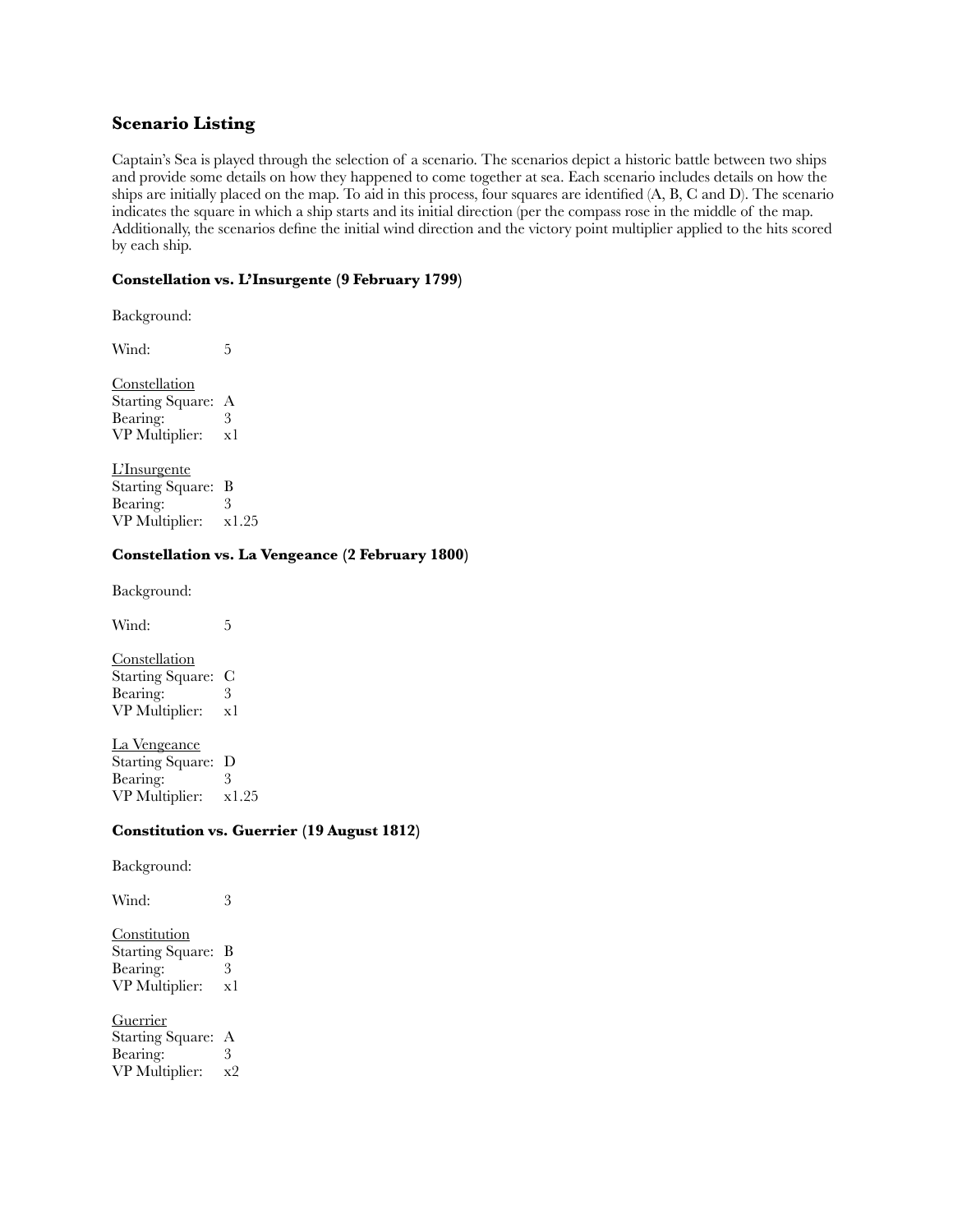# **Scenario Listing**

Captain's Sea is played through the selection of a scenario. The scenarios depict a historic battle between two ships and provide some details on how they happened to come together at sea. Each scenario includes details on how the ships are initially placed on the map. To aid in this process, four squares are identified (A, B, C and D). The scenario indicates the square in which a ship starts and its initial direction (per the compass rose in the middle of the map. Additionally, the scenarios define the initial wind direction and the victory point multiplier applied to the hits scored by each ship.

### **Constellation vs. L'Insurgente (9 February 1799)**

Background:

Wind: 5

**Constellation** Starting Square: A Bearing: 3 VP Multiplier: x1

L'Insurgente Starting Square: B<br>Bearing: 3 Bearing: VP Multiplier: x1.25

### **Constellation vs. La Vengeance (2 February 1800)**

Background:

Wind: 5

**Constellation** Starting Square: C Bearing: 3 VP Multiplier: x1

La Vengeance Starting Square: D<br>Bearing: 3 Bearing: VP Multiplier: x1.25

### **Constitution vs. Guerrier (19 August 1812)**

Background:

**Constitution** Starting Square: B Bearing: 3<br>VP Multiplier: x1 VP Multiplier:

Wind: 3

**Guerrier** Starting Square: A Bearing: 3 VP Multiplier: x2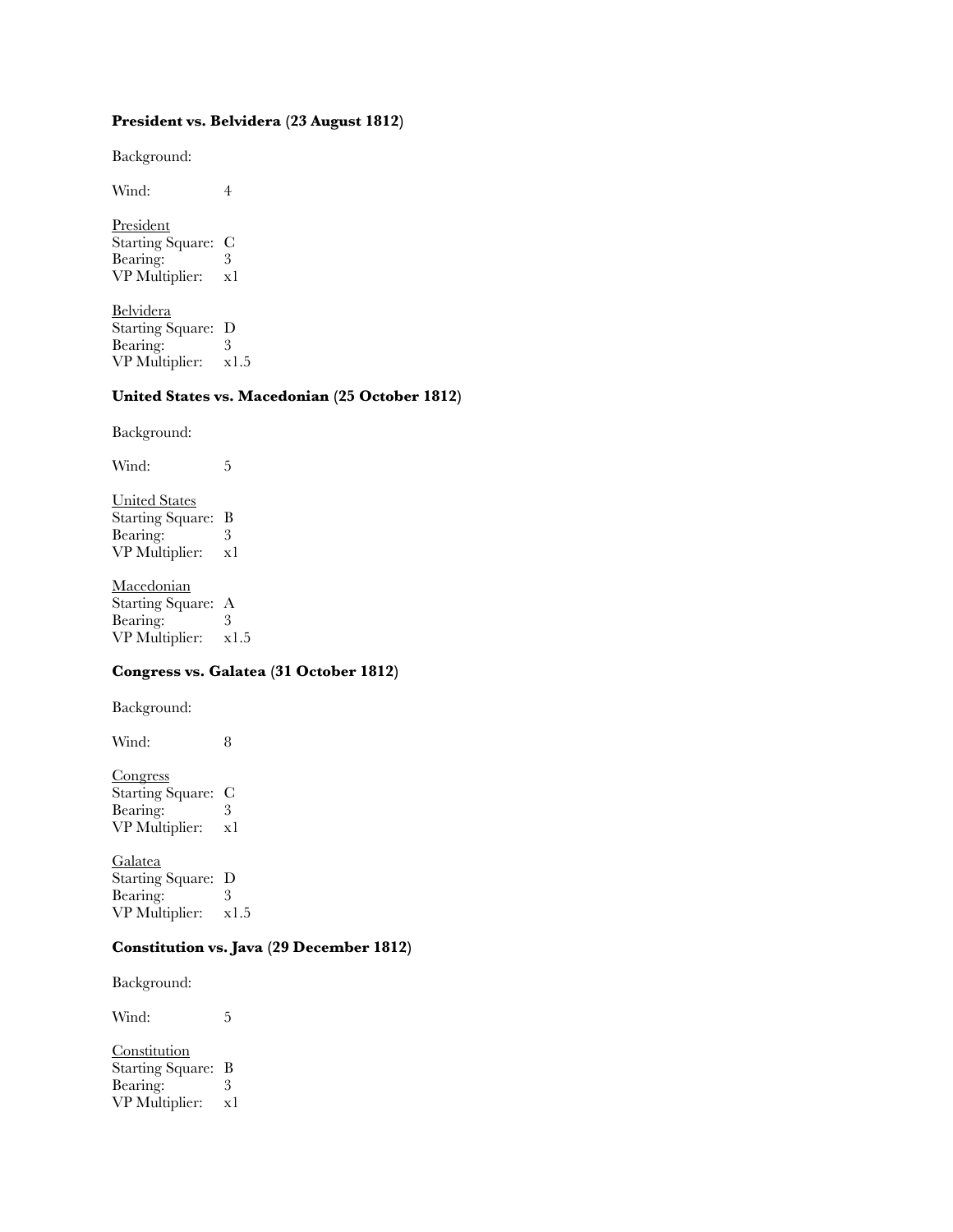# **President vs. Belvidera (23 August 1812)**

Background:

Wind: 4

President Starting Square: C Bearing: 3<br>VP Multiplier: x1 VP Multiplier:

Belvidera Starting Square: D<br>Bearing: 3 Bearing: VP Multiplier: x1.5

# **United States vs. Macedonian (25 October 1812)**

Background:

Wind: 5 United States Starting Square: B

Bearing: 3<br>VP Multiplier: x1 VP Multiplier:

Macedonian Starting Square: A Bearing: 3 VP Multiplier: x1.5

### **Congress vs. Galatea (31 October 1812)**

Background:

Wind: 8

Congress Starting Square: C Bearing: 3 VP Multiplier: x1

Galatea Starting Square: D Bearing: 3 VP Multiplier: x1.5

### **Constitution vs. Java (29 December 1812)**

Background:

Wind: 5

**Constitution** Starting Square: B Bearing: 3<br>VP Multiplier: x1 VP Multiplier: